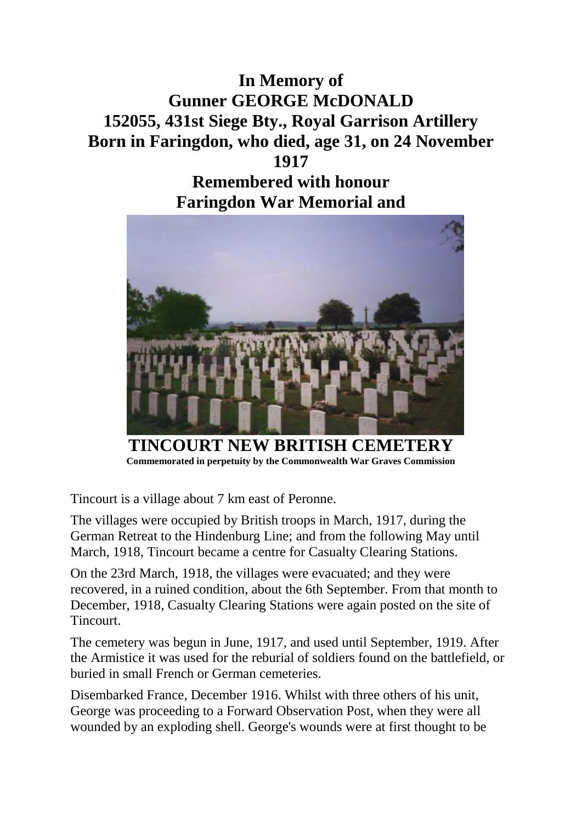## **In Memory of Gunner GEORGE McDONALD 152055, 431st Siege Bty., Royal Garrison Artillery Born in Faringdon, who died, age 31, on 24 November 1917**

## **Remembered with honour Faringdon War Memorial and**



**TINCOURT NEW BRITISH CEMETERY Commemorated in perpetuity by the Commonwealth War Graves Commission**

Tincourt is a village about 7 km east of Peronne.

The villages were occupied by British troops in March, 1917, during the German Retreat to the Hindenburg Line; and from the following May until March, 1918, Tincourt became a centre for Casualty Clearing Stations.

On the 23rd March, 1918, the villages were evacuated; and they were recovered, in a ruined condition, about the 6th September. From that month to December, 1918, Casualty Clearing Stations were again posted on the site of Tincourt.

The cemetery was begun in June, 1917, and used until September, 1919. After the Armistice it was used for the reburial of soldiers found on the battlefield, or buried in small French or German cemeteries.

Disembarked France, December 1916. Whilst with three others of his unit, George was proceeding to a Forward Observation Post, when they were all wounded by an exploding shell. George's wounds were at first thought to be